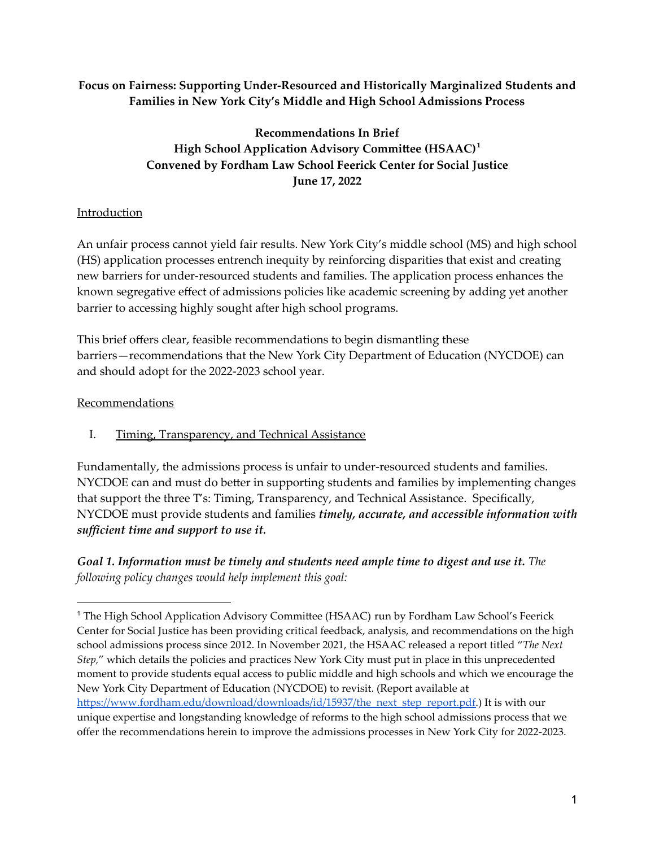#### **Focus on Fairness: Supporting Under-Resourced and Historically Marginalized Students and Families in New York City's Middle and High School Admissions Process**

# **Recommendations In Brief High School Application Advisory Committee (HSAAC) 1 Convened by Fordham Law School Feerick Center for Social Justice June 17, 2022**

### Introduction

An unfair process cannot yield fair results. New York City's middle school (MS) and high school (HS) application processes entrench inequity by reinforcing disparities that exist and creating new barriers for under-resourced students and families. The application process enhances the known segregative effect of admissions policies like academic screening by adding yet another barrier to accessing highly sought after high school programs.

This brief offers clear, feasible recommendations to begin dismantling these barriers—recommendations that the New York City Department of Education (NYCDOE) can and should adopt for the 2022-2023 school year.

### Recommendations

I. Timing, Transparency, and Technical Assistance

Fundamentally, the admissions process is unfair to under-resourced students and families. NYCDOE can and must do better in supporting students and families by implementing changes that support the three T's: Timing, Transparency, and Technical Assistance. Specifically, NYCDOE must provide students and families *timely, accurate, and accessible information with sufficient time and support to use it.*

*Goal 1. Information must be timely and students need ample time to digest and use it. The following policy changes would help implement this goal:*

<sup>1</sup> The High School Application Advisory Committee (HSAAC) run by Fordham Law School's Feerick Center for Social Justice has been providing critical feedback, analysis, and recommendations on the high school admissions process since 2012. In November 2021, the HSAAC released a report titled "*The Next Step,*" which details the policies and practices New York City must put in place in this unprecedented moment to provide students equal access to public middle and high schools and which we encourage the New York City Department of Education (NYCDOE) to revisit. (Report available at [https://www.fordham.edu/download/downloads/id/15937/the\\_next\\_step\\_report.pdf.](https://www.fordham.edu/download/downloads/id/15937/the_next_step_report.pdf)) It is with our unique expertise and longstanding knowledge of reforms to the high school admissions process that we offer the recommendations herein to improve the admissions processes in New York City for 2022-2023.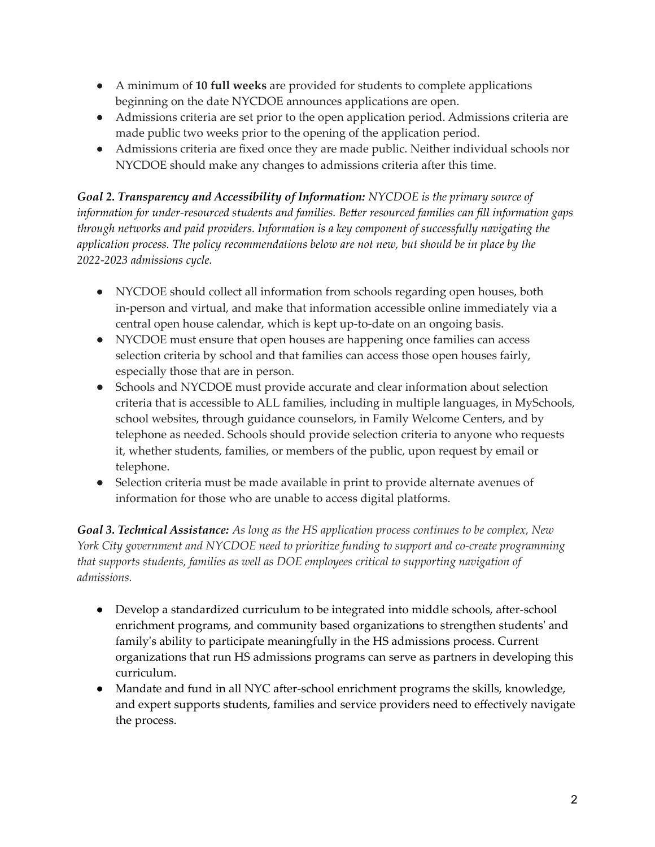- A minimum of **10 full weeks** are provided for students to complete applications beginning on the date NYCDOE announces applications are open.
- Admissions criteria are set prior to the open application period. Admissions criteria are made public two weeks prior to the opening of the application period.
- Admissions criteria are fixed once they are made public. Neither individual schools nor NYCDOE should make any changes to admissions criteria after this time.

*Goal 2. Transparency and Accessibility of Information: NYCDOE is the primary source of information for under-resourced students and families. Better resourced families can fill information gaps through networks and paid providers. Information is a key component of successfully navigating the application process. The policy recommendations below are not new, but should be in place by the 2022-2023 admissions cycle.*

- NYCDOE should collect all information from schools regarding open houses, both in-person and virtual, and make that information accessible online immediately via a central open house calendar, which is kept up-to-date on an ongoing basis.
- NYCDOE must ensure that open houses are happening once families can access selection criteria by school and that families can access those open houses fairly, especially those that are in person.
- Schools and NYCDOE must provide accurate and clear information about selection criteria that is accessible to ALL families, including in multiple languages, in MySchools, school websites, through guidance counselors, in Family Welcome Centers, and by telephone as needed. Schools should provide selection criteria to anyone who requests it, whether students, families, or members of the public, upon request by email or telephone.
- Selection criteria must be made available in print to provide alternate avenues of information for those who are unable to access digital platforms.

*Goal 3. Technical Assistance: As long as the HS application process continues to be complex, New York City government and NYCDOE need to prioritize funding to support and co-create programming that supports students, families as well as DOE employees critical to supporting navigation of admissions.*

- Develop a standardized curriculum to be integrated into middle schools, after-school enrichment programs, and community based organizations to strengthen students' and family's ability to participate meaningfully in the HS admissions process. Current organizations that run HS admissions programs can serve as partners in developing this curriculum.
- Mandate and fund in all NYC after-school enrichment programs the skills, knowledge, and expert supports students, families and service providers need to effectively navigate the process.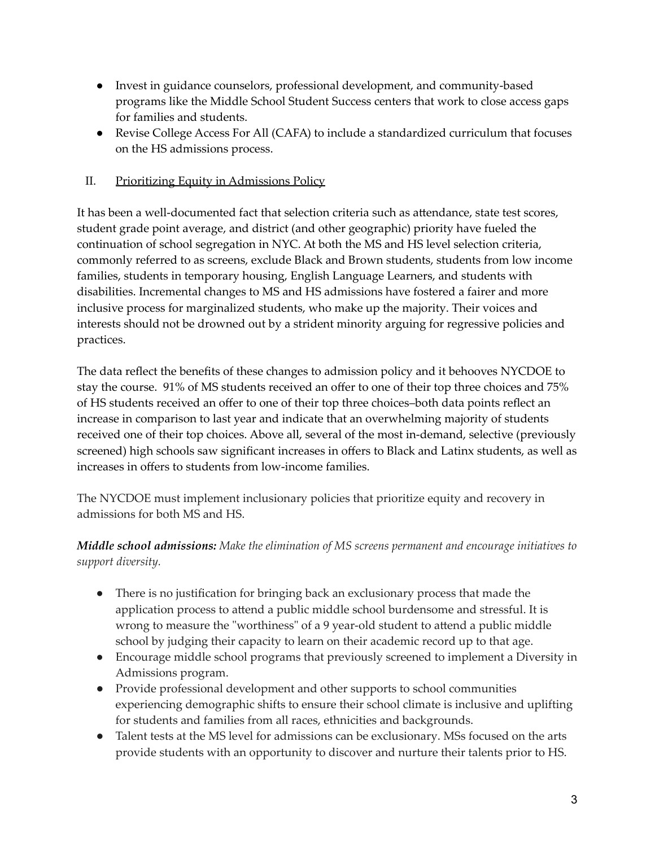- Invest in guidance counselors, professional development, and community-based programs like the Middle School Student Success centers that work to close access gaps for families and students.
- Revise College Access For All (CAFA) to include a standardized curriculum that focuses on the HS admissions process.

### II. Prioritizing Equity in Admissions Policy

It has been a well-documented fact that selection criteria such as attendance, state test scores, student grade point average, and district (and other geographic) priority have fueled the continuation of school segregation in NYC. At both the MS and HS level selection criteria, commonly referred to as screens, exclude Black and Brown students, students from low income families, students in temporary housing, English Language Learners, and students with disabilities. Incremental changes to MS and HS admissions have fostered a fairer and more inclusive process for marginalized students, who make up the majority. Their voices and interests should not be drowned out by a strident minority arguing for regressive policies and practices.

The data reflect the benefits of these changes to admission policy and it behooves NYCDOE to stay the course. 91% of MS students received an offer to one of their top three choices and 75% of HS students received an offer to one of their top three choices–both data points reflect an increase in comparison to last year and indicate that an overwhelming majority of students received one of their top choices. Above all, several of the most in-demand, selective (previously screened) high schools saw significant increases in offers to Black and Latinx students, as well as increases in offers to students from low-income families.

The NYCDOE must implement inclusionary policies that prioritize equity and recovery in admissions for both MS and HS.

*Middle school admissions: Make the elimination of MS screens permanent and encourage initiatives to support diversity.*

- There is no justification for bringing back an exclusionary process that made the application process to attend a public middle school burdensome and stressful. It is wrong to measure the "worthiness" of a 9 year-old student to attend a public middle school by judging their capacity to learn on their academic record up to that age.
- Encourage middle school programs that previously screened to implement a Diversity in Admissions program.
- Provide professional development and other supports to school communities experiencing demographic shifts to ensure their school climate is inclusive and uplifting for students and families from all races, ethnicities and backgrounds.
- Talent tests at the MS level for admissions can be exclusionary. MSs focused on the arts provide students with an opportunity to discover and nurture their talents prior to HS.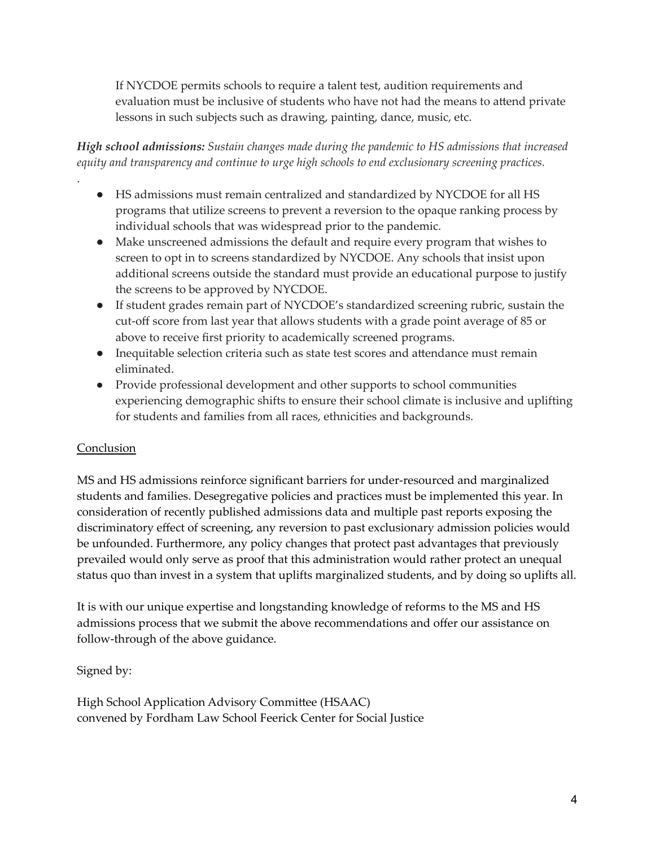If NYCDOE permits schools to require a talent test, audition requirements and evaluation must be inclusive of students who have not had the means to attend private lessons in such subjects such as drawing, painting, dance, music, etc.

*High school admissions: Sustain changes made during the pandemic to HS admissions that increased equity and transparency and continue to urge high schools to end exclusionary screening practices.*

- HS admissions must remain centralized and standardized by NYCDOE for all HS programs that utilize screens to prevent a reversion to the opaque ranking process by individual schools that was widespread prior to the pandemic.
- Make unscreened admissions the default and require every program that wishes to screen to opt in to screens standardized by NYCDOE. Any schools that insist upon additional screens outside the standard must provide an educational purpose to justify the screens to be approved by NYCDOE.
- If student grades remain part of NYCDOE's standardized screening rubric, sustain the cut-off score from last year that allows students with a grade point average of 85 or above to receive first priority to academically screened programs.
- Inequitable selection criteria such as state test scores and attendance must remain eliminated.
- Provide professional development and other supports to school communities experiencing demographic shifts to ensure their school climate is inclusive and uplifting for students and families from all races, ethnicities and backgrounds.

# Conclusion

.

MS and HS admissions reinforce significant barriers for under-resourced and marginalized students and families. Desegregative policies and practices must be implemented this year. In consideration of recently published admissions data and multiple past reports exposing the discriminatory effect of screening, any reversion to past exclusionary admission policies would be unfounded. Furthermore, any policy changes that protect past advantages that previously prevailed would only serve as proof that this administration would rather protect an unequal status quo than invest in a system that uplifts marginalized students, and by doing so uplifts all.

It is with our unique expertise and longstanding knowledge of reforms to the MS and HS admissions process that we submit the above recommendations and offer our assistance on follow-through of the above guidance.

Signed by:

High School Application Advisory Committee (HSAAC) convened by Fordham Law School Feerick Center for Social Justice